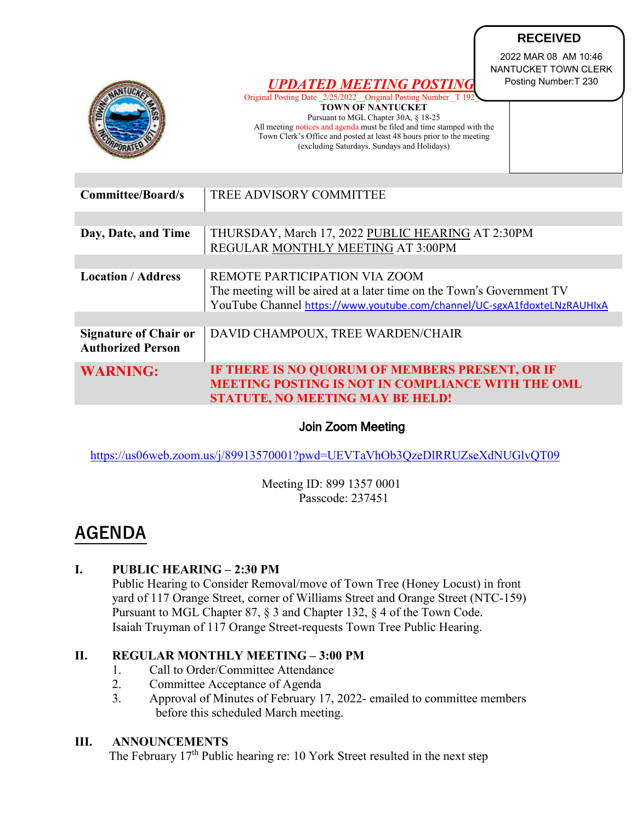|                                                                                                                                                                                                           |                                                                                                                                                  | <b>RECEIVED</b>                                                       |
|-----------------------------------------------------------------------------------------------------------------------------------------------------------------------------------------------------------|--------------------------------------------------------------------------------------------------------------------------------------------------|-----------------------------------------------------------------------|
|                                                                                                                                                                                                           | <b>UPDATED MEETING POSTING</b><br>Original Posting Date 2/25/2022 Original Posting Number T 19                                                   | 2022 MAR 08 AM 10:46<br>NANTUCKET TOWN CLERK<br>Posting Number: T 230 |
|                                                                                                                                                                                                           | <b>TOWN OF NANTUCKET</b><br>Pursuant to MGL Chapter 30A, § 18-25                                                                                 |                                                                       |
|                                                                                                                                                                                                           | All meeting notices and agenda must be filed and time stamped with the<br>Town Clerk's Office and posted at least 48 hours prior to the meeting  |                                                                       |
|                                                                                                                                                                                                           | (excluding Saturdays, Sundays and Holidays)                                                                                                      |                                                                       |
|                                                                                                                                                                                                           |                                                                                                                                                  |                                                                       |
| <b>Committee/Board/s</b>                                                                                                                                                                                  | <b>TREE ADVISORY COMMITTEE</b>                                                                                                                   |                                                                       |
|                                                                                                                                                                                                           |                                                                                                                                                  |                                                                       |
| Day, Date, and Time                                                                                                                                                                                       | THURSDAY, March 17, 2022 PUBLIC HEARING AT 2:30PM                                                                                                |                                                                       |
|                                                                                                                                                                                                           | REGULAR MONTHLY MEETING AT 3:00PM                                                                                                                |                                                                       |
| <b>Location / Address</b>                                                                                                                                                                                 | REMOTE PARTICIPATION VIA ZOOM                                                                                                                    |                                                                       |
|                                                                                                                                                                                                           | The meeting will be aired at a later time on the Town's Government TV                                                                            |                                                                       |
|                                                                                                                                                                                                           | YouTube Channel https://www.youtube.com/channel/UC-sgxA1fdoxteLNzRAUHIxA                                                                         |                                                                       |
| <b>Signature of Chair or</b>                                                                                                                                                                              | DAVID CHAMPOUX, TREE WARDEN/CHAIR                                                                                                                |                                                                       |
| <b>Authorized Person</b>                                                                                                                                                                                  |                                                                                                                                                  |                                                                       |
| <b>WARNING:</b>                                                                                                                                                                                           | IF THERE IS NO QUORUM OF MEMBERS PRESENT, OR IF                                                                                                  |                                                                       |
|                                                                                                                                                                                                           | <b>MEETING POSTING IS NOT IN COMPLIANCE WITH THE OML</b><br><b>STATUTE, NO MEETING MAY BE HELD!</b>                                              |                                                                       |
|                                                                                                                                                                                                           |                                                                                                                                                  |                                                                       |
| <b>Join Zoom Meeting</b>                                                                                                                                                                                  |                                                                                                                                                  |                                                                       |
| https://us06web.zoom.us/j/89913570001?pwd=UEVTaVhOb3QzeDlRRUZseXdNUGlvQT09                                                                                                                                |                                                                                                                                                  |                                                                       |
| Meeting ID: 899 1357 0001<br>Passcode: 237451                                                                                                                                                             |                                                                                                                                                  |                                                                       |
| <b>AGENDA</b>                                                                                                                                                                                             |                                                                                                                                                  |                                                                       |
| I.<br><b>PUBLIC HEARING - 2:30 PM</b><br>Public Hearing to Consider Removal/move of Town Tree (Honey Locust) in front<br>yard of 117 Orange Street, corner of Williams Street and Orange Street (NTC-159) |                                                                                                                                                  |                                                                       |
|                                                                                                                                                                                                           | Pursuant to MGL Chapter 87, § 3 and Chapter 132, § 4 of the Town Code.<br>Isaiah Truyman of 117 Orange Street-requests Town Tree Public Hearing. |                                                                       |
| П.<br><b>REGULAR MONTHLY MEETING - 3:00 PM</b>                                                                                                                                                            |                                                                                                                                                  |                                                                       |
| Call to Order/Committee Attendance<br>1.                                                                                                                                                                  |                                                                                                                                                  |                                                                       |
| 2.                                                                                                                                                                                                        | Committee Acceptance of Agenda                                                                                                                   |                                                                       |
| 3.                                                                                                                                                                                                        | Approval of Minutes of February 17, 2022- emailed to committee members<br>before this scheduled March meeting.                                   |                                                                       |
| Ш.<br><b>ANNOUNCEMENTS</b>                                                                                                                                                                                |                                                                                                                                                  |                                                                       |

# Join Zoom Meeting

# **AGENDA**

# **I. PUBLIC HEARING – 2:30 PM**

### **II. REGULAR MONTHLY MEETING – 3:00 PM**

- 1. Call to Order/Committee Attendance
- 2. Committee Acceptance of Agenda
- 3. Approval of Minutes of February 17, 2022- emailed to committee members before this scheduled March meeting.